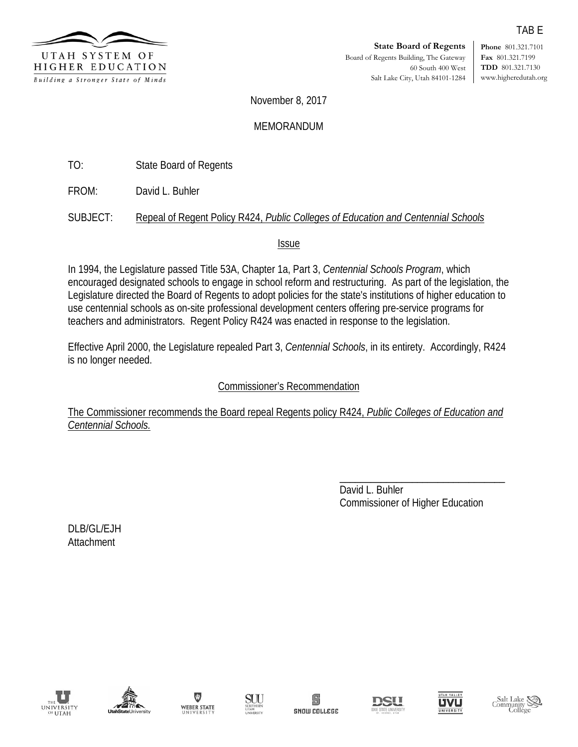

**Phone** 801.321.7101 **Fax** 801.321.7199 **TDD** 801.321.7130 www.higheredutah.org

November 8, 2017

### MEMORANDUM

TO: State Board of Regents

FROM: David L. Buhler

SUBJECT: Repeal of Regent Policy R424, *Public Colleges of Education and Centennial Schools*

Issue

In 1994, the Legislature passed Title 53A, Chapter 1a, Part 3, *Centennial Schools Program*, which encouraged designated schools to engage in school reform and restructuring. As part of the legislation, the Legislature directed the Board of Regents to adopt policies for the state's institutions of higher education to use centennial schools as on-site professional development centers offering pre-service programs for teachers and administrators. Regent Policy R424 was enacted in response to the legislation.

Effective April 2000, the Legislature repealed Part 3, *Centennial Schools*, in its entirety. Accordingly, R424 is no longer needed.

## Commissioner's Recommendation

The Commissioner recommends the Board repeal Regents policy R424, *Public Colleges of Education and Centennial Schools.* 

> \_\_\_\_\_\_\_\_\_\_\_\_\_\_\_\_\_\_\_\_\_\_\_\_\_\_\_\_\_\_\_\_ David L. Buhler Commissioner of Higher Education

DLB/GL/EJH Attachment















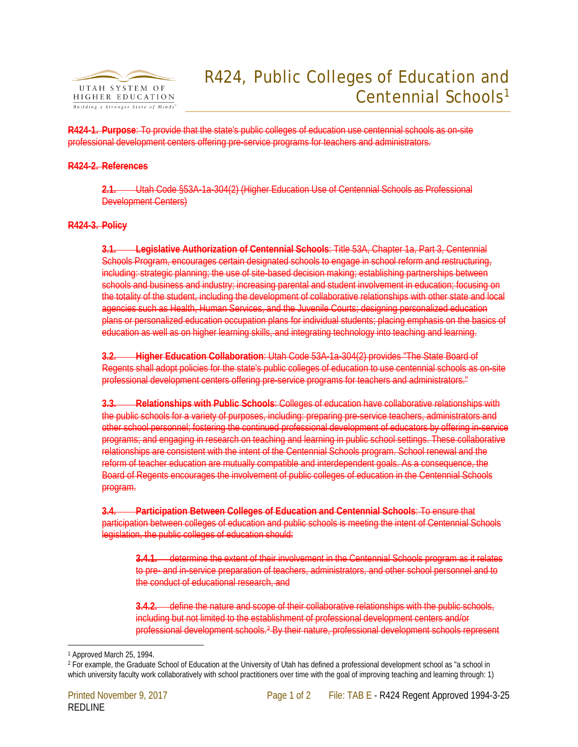

# R424, Public Colleges of Education and Centennial Schools<sup>[1](#page-1-0)</sup>

**R424-1. Purpose**: To provide that the state's public colleges of education use centennial schools as on-site professional development centers offering pre-service programs for teachers and administrators.

### **R424-2. References**

**2.1.** Utah Code [§53A-1a-304\(2\)](http://www.le.state.ut.us/%7Ecode/TITLE53A/htm/53A02018.htm) (Higher Education Use of Centennial Schools as Professional Development Centers)

#### **R424-3. Policy**

**3.1. Legislative Authorization of Centennial Schools**: Title 53A, Chapter 1a, Part 3, Centennial Schools Program, encourages certain designated schools to engage in school reform and restructuring, including: strategic planning; the use of site-based decision making; establishing partnerships between schools and business and industry; increasing parental and student involvement in education; focusing on the totality of the student, including the development of collaborative relationships with other state and local agencies such as Health, Human Services, and the Juvenile Courts; designing personalized education plans or personalized education occupation plans for individual students; placing emphasis on the basics of education as well as on higher learning skills, and integrating technology into teaching and learning.

**3.2. Higher Education Collaboration**: Utah Code [53A-1a-304\(2\)](http://www.le.state.ut.us/%7Ecode/TITLE53A/htm/53A02018.htm) provides "The State Board of Regents shall adopt policies for the state's public colleges of education to use centennial schools as on-site professional development centers offering pre-service programs for teachers and administrators."

**3.3. Relationships with Public Schools**: Colleges of education have collaborative relationships with the public schools for a variety of purposes, including: preparing pre-service teachers, administrators and other school personnel; fostering the continued professional development of educators by offering in-service programs; and engaging in research on teaching and learning in public school settings. These collaborative relationships are consistent with the intent of the Centennial Schools program. School renewal and the reform of teacher education are mutually compatible and interdependent goals. As a consequence, the Board of Regents encourages the involvement of public colleges of education in the Centennial Schools program.

**3.4. Participation Between Colleges of Education and Centennial Schools**: To ensure that participation between colleges of education and public schools is meeting the intent of Centennial Schools legislation, the public colleges of education should:

**3.4.1.** determine the extent of their involvement in the Centennial Schools program as it relates to pre- and in-service preparation of teachers, administrators, and other school personnel and to the conduct of educational research, and

**3.4.2.** define the nature and scope of their collaborative relationships with the public schools, including but not limited to the establishment of professional development centers and/or professional development schools.[2](#page-1-1) By their nature, professional development schools represent

 <sup>1</sup> Approved March 25, 1994.

<span id="page-1-1"></span><span id="page-1-0"></span><sup>2</sup> For example, the Graduate School of Education at the University of Utah has defined a professional development school as "a school in which university faculty work collaboratively with school practitioners over time with the goal of improving teaching and learning through: 1)